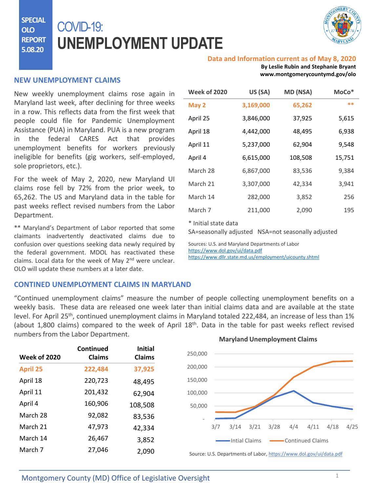**SPECIAL OLO REPORT 5.08.20**

# COVID-19: **UNEMPLOYMENT UPDATE**



#### **Data and Information current as of May 8, 2020**

**By Leslie Rubin and Stephanie Bryant www.montgomerycountymd.gov/olo**

#### **NEW UNEMPLOYMENT CLAIMS**

New weekly unemployment claims rose again in Maryland last week, after declining for three weeks in a row. This reflects data from the first week that people could file for Pandemic Unemployment Assistance (PUA) in Maryland. PUA is a new program in the federal CARES Act that provides unemployment benefits for workers previously ineligible for benefits (gig workers, self-employed, sole proprietors, etc.).

For the week of May 2, 2020, new Maryland UI claims rose fell by 72% from the prior week, to 65,262. The US and Maryland data in the table for past weeks reflect revised numbers from the Labor Department.

\*\* Maryland's Department of Labor reported that some claimants inadvertently deactivated claims due to confusion over questions seeking data newly required by the federal government. MDOL has reactivated these claims. Local data for the week of May 2<sup>nd</sup> were unclear. OLO will update these numbers at a later date.

| <b>Week of 2020</b> | US (SA)   | MD (NSA) | MoCo*  |
|---------------------|-----------|----------|--------|
| May 2               | 3,169,000 | 65,262   | **     |
| April 25            | 3,846,000 | 37,925   | 5,615  |
| April 18            | 4,442,000 | 48,495   | 6,938  |
| April 11            | 5,237,000 | 62,904   | 9,548  |
| April 4             | 6,615,000 | 108,508  | 15,751 |
| March 28            | 6,867,000 | 83,536   | 9,384  |
| March 21            | 3,307,000 | 42,334   | 3,941  |
| March 14            | 282,000   | 3,852    | 256    |
| March 7             | 211,000   | 2,090    | 195    |

\* Initial state data

SA=seasonally adjusted NSA=not seasonally adjusted

Sources: U.S. and Maryland Departments of Labor <https://www.dol.gov/ui/data.pdf> <https://www.dllr.state.md.us/employment/uicounty.shtml>

### **CONTINED UNEMPLOYMENT CLAIMS IN MARYLAND**

"Continued unemployment claims" measure the number of people collecting unemployment benefits on a weekly basis. These data are released one week later than initial claims data and are available at the state level. For April 25<sup>th</sup>, continued unemployment claims in Maryland totaled 222,484, an increase of less than 1% (about 1,800 claims) compared to the week of April 18<sup>th</sup>. Data in the table for past weeks reflect revised numbers from the Labor Department. **Maryland Unemployment Claims**

| <b>Week of 2020</b> | Continued<br><b>Claims</b> | <b>Initial</b><br>Claims | 250,000                                                            |
|---------------------|----------------------------|--------------------------|--------------------------------------------------------------------|
| <b>April 25</b>     | 222,484                    | 37,925                   | 200,000                                                            |
| April 18            | 220,723                    | 48,495                   | 150,000                                                            |
| April 11            | 201,432                    | 62,904                   | 100,000                                                            |
| April 4             | 160,906                    | 108,508                  | 50,000                                                             |
| March 28            | 92,082                     | 83,536                   |                                                                    |
| March 21            | 47,973                     | 42,334                   | 3/21<br>3/7<br>3/14<br>3/28<br>4/4<br>4/11<br>4/18<br>4/25         |
| March 14            | 26,467                     | 3,852                    | Intial Claims<br>Continued Claims                                  |
| March 7             | 27,046                     | 2,090                    | Source: U.S. Departments of Labor, https://www.dol.gov/ui/data.pdf |